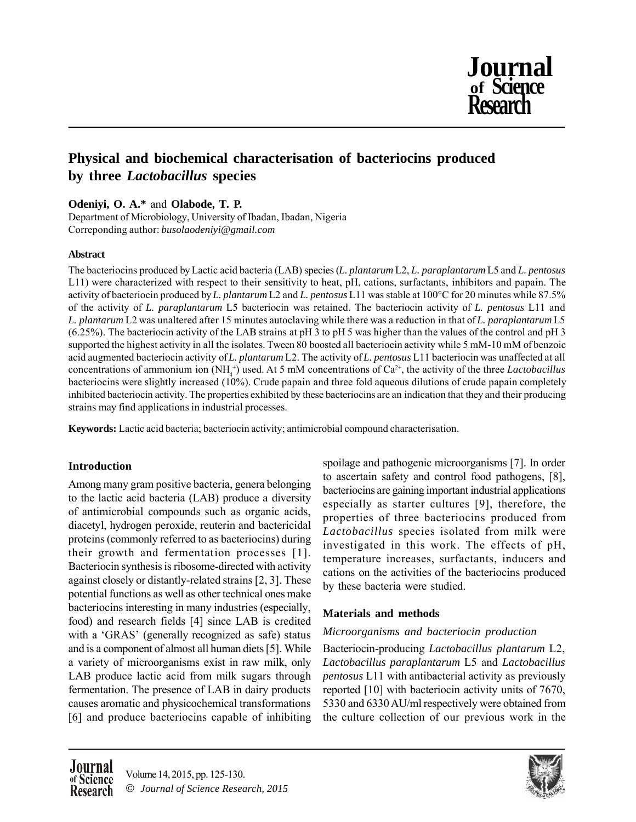

# **Physical and biochemical characterisation of bacteriocins produced by three** *Lactobacillus* **species**

**Odeniyi, O. A.\*** and **Olabode, T. P.**

Department of Microbiology, University of Ibadan, Ibadan, Nigeria Correponding author: *busolaodeniyi@gmail.com*

### **Abstract**

The bacteriocins produced by Lactic acid bacteria (LAB) species (*L. plantarum* L2, *L. paraplantarum* L5 and *L. pentosus* L11) were characterized with respect to their sensitivity to heat, pH, cations, surfactants, inhibitors and papain. The activity of bacteriocin produced by *L. plantarum* L2 and *L. pentosus* L11 was stable at 100°C for 20 minutes while 87.5% of the activity of *L. paraplantarum* L5 bacteriocin was retained. The bacteriocin activity of *L. pentosus* L11 and *L. plantarum* L2 was unaltered after 15 minutes autoclaving while there was a reduction in that of *L. paraplantarum* L5 (6.25%). The bacteriocin activity of the LAB strains at pH 3 to pH 5 was higher than the values of the control and pH 3 supported the highest activity in all the isolates. Tween 80 boosted all bacteriocin activity while 5 mM-10 mM of benzoic acid augmented bacteriocin activity of *L. plantarum* L2. The activity of *L. pentosus* L11 bacteriocin was unaffected at all concentrations of ammonium ion  $(NH_4^+)$  used. At 5 mM concentrations of  $Ca^{2+}$ , the activity of the three *Lactobacillus* bacteriocins were slightly increased (10%). Crude papain and three fold aqueous dilutions of crude papain completely inhibited bacteriocin activity. The properties exhibited by these bacteriocins are an indication that they and their producing strains may find applications in industrial processes.

**Keywords:** Lactic acid bacteria; bacteriocin activity; antimicrobial compound characterisation.

## **Introduction**

Among many gram positive bacteria, genera belonging to the lactic acid bacteria (LAB) produce a diversity of antimicrobial compounds such as organic acids, diacetyl, hydrogen peroxide, reuterin and bactericidal proteins (commonly referred to as bacteriocins) during their growth and fermentation processes [1]. Bacteriocin synthesis is ribosome-directed with activity against closely or distantly-related strains [2, 3]. These potential functions as well as other technical ones make bacteriocins interesting in many industries (especially, food) and research fields [4] since LAB is credited with a 'GRAS' (generally recognized as safe) status and is a component of almost all human diets [5]. While a variety of microorganisms exist in raw milk, only LAB produce lactic acid from milk sugars through fermentation. The presence of LAB in dairy products causes aromatic and physicochemical transformations [6] and produce bacteriocins capable of inhibiting spoilage and pathogenic microorganisms [7]. In order to ascertain safety and control food pathogens, [8], bacteriocins are gaining important industrial applications especially as starter cultures [9], therefore, the properties of three bacteriocins produced from *Lactobacillus* species isolated from milk were investigated in this work. The effects of pH, temperature increases, surfactants, inducers and cations on the activities of the bacteriocins produced by these bacteria were studied.

## **Materials and methods**

## *Microorganisms and bacteriocin production*

Bacteriocin-producing *Lactobacillus plantarum* L2, *Lactobacillus paraplantarum* L5 and *Lactobacillus pentosus* L11 with antibacterial activity as previously reported [10] with bacteriocin activity units of 7670, 5330 and 6330 AU/ml respectively were obtained from the culture collection of our previous work in the



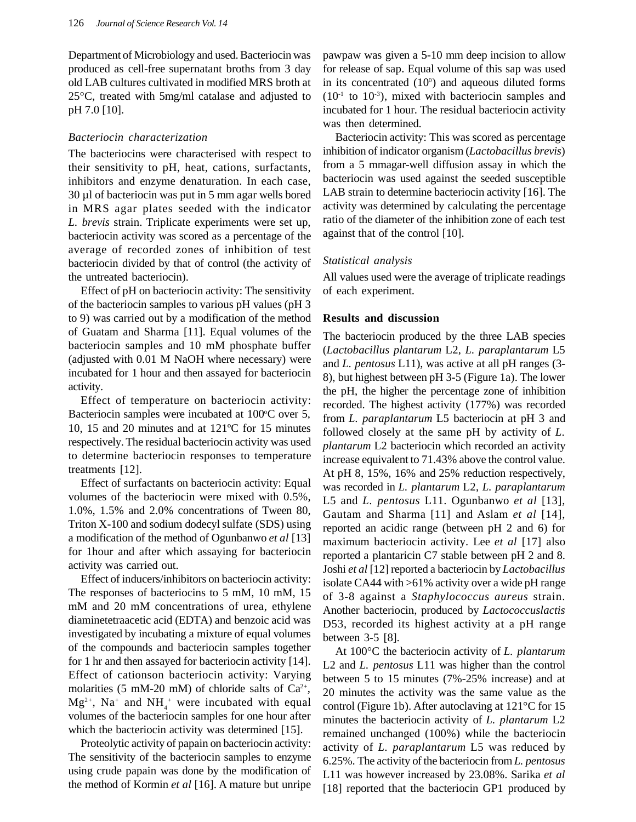Department of Microbiology and used. Bacteriocin was produced as cell-free supernatant broths from 3 day old LAB cultures cultivated in modified MRS broth at 25°C, treated with 5mg/ml catalase and adjusted to pH 7.0 [10].

#### *Bacteriocin characterization*

The bacteriocins were characterised with respect to their sensitivity to pH, heat, cations, surfactants, inhibitors and enzyme denaturation. In each case, 30 µl of bacteriocin was put in 5 mm agar wells bored in MRS agar plates seeded with the indicator *L. brevis* strain. Triplicate experiments were set up, bacteriocin activity was scored as a percentage of the average of recorded zones of inhibition of test bacteriocin divided by that of control (the activity of the untreated bacteriocin).

Effect of pH on bacteriocin activity: The sensitivity of the bacteriocin samples to various pH values (pH 3 to 9) was carried out by a modification of the method of Guatam and Sharma [11]. Equal volumes of the bacteriocin samples and 10 mM phosphate buffer (adjusted with 0.01 M NaOH where necessary) were incubated for 1 hour and then assayed for bacteriocin activity.

Effect of temperature on bacteriocin activity: Bacteriocin samples were incubated at  $100^{\circ}$ C over 5, 10, 15 and 20 minutes and at 121ºC for 15 minutes respectively. The residual bacteriocin activity was used to determine bacteriocin responses to temperature treatments [12].

Effect of surfactants on bacteriocin activity: Equal volumes of the bacteriocin were mixed with 0.5%, 1.0%, 1.5% and 2.0% concentrations of Tween 80, Triton X-100 and sodium dodecyl sulfate (SDS) using a modification of the method of Ogunbanwo *et al* [13] for 1hour and after which assaying for bacteriocin activity was carried out.

Effect of inducers/inhibitors on bacteriocin activity: The responses of bacteriocins to 5 mM, 10 mM, 15 mM and 20 mM concentrations of urea, ethylene diaminetetraacetic acid (EDTA) and benzoic acid was investigated by incubating a mixture of equal volumes of the compounds and bacteriocin samples together for 1 hr and then assayed for bacteriocin activity [14]. Effect of cationson bacteriocin activity: Varying molarities (5 mM-20 mM) of chloride salts of  $Ca^{2+}$ ,  $Mg^{2+}$ , Na<sup>+</sup> and NH<sub>4</sub><sup>+</sup> were incubated with equal volumes of the bacteriocin samples for one hour after which the bacteriocin activity was determined [15].

Proteolytic activity of papain on bacteriocin activity: The sensitivity of the bacteriocin samples to enzyme using crude papain was done by the modification of the method of Kormin *et al* [16]. A mature but unripe pawpaw was given a 5-10 mm deep incision to allow for release of sap. Equal volume of this sap was used in its concentrated  $(10^{\circ})$  and aqueous diluted forms  $(10<sup>-1</sup>$  to  $10<sup>-3</sup>$ ), mixed with bacteriocin samples and incubated for 1 hour. The residual bacteriocin activity was then determined.

Bacteriocin activity: This was scored as percentage inhibition of indicator organism (*Lactobacillus brevis*) from a 5 mmagar-well diffusion assay in which the bacteriocin was used against the seeded susceptible LAB strain to determine bacteriocin activity [16]. The activity was determined by calculating the percentage ratio of the diameter of the inhibition zone of each test against that of the control [10].

#### *Statistical analysis*

All values used were the average of triplicate readings of each experiment.

#### **Results and discussion**

The bacteriocin produced by the three LAB species (*Lactobacillus plantarum* L2, *L. paraplantarum* L5 and *L. pentosus* L11), was active at all pH ranges (3- 8), but highest between pH 3-5 (Figure 1a). The lower the pH, the higher the percentage zone of inhibition recorded. The highest activity (177%) was recorded from *L. paraplantarum* L5 bacteriocin at pH 3 and followed closely at the same pH by activity of *L. plantarum* L2 bacteriocin which recorded an activity increase equivalent to 71.43% above the control value. At pH 8, 15%, 16% and 25% reduction respectively, was recorded in *L. plantarum* L2, *L. paraplantarum* L5 and *L. pentosus* L11. Ogunbanwo *et al* [13], Gautam and Sharma [11] and Aslam *et al* [14], reported an acidic range (between pH 2 and 6) for maximum bacteriocin activity. Lee *et al* [17] also reported a plantaricin C7 stable between pH 2 and 8. Joshi *et al* [12] reported a bacteriocin by *Lactobacillus* isolate CA44 with >61% activity over a wide pH range of 3-8 against a *Staphylococcus aureus* strain. Another bacteriocin, produced by *Lactococcuslactis* D53, recorded its highest activity at a pH range between 3-5 [8].

At 100°C the bacteriocin activity of *L. plantarum* L2 and *L. pentosus* L11 was higher than the control between 5 to 15 minutes (7%-25% increase) and at 20 minutes the activity was the same value as the control (Figure 1b). After autoclaving at 121°C for 15 minutes the bacteriocin activity of *L. plantarum* L2 remained unchanged (100%) while the bacteriocin activity of *L. paraplantarum* L5 was reduced by 6.25%. The activity of the bacteriocin from *L. pentosus* L11 was however increased by 23.08%. Sarika *et al* [18] reported that the bacteriocin GP1 produced by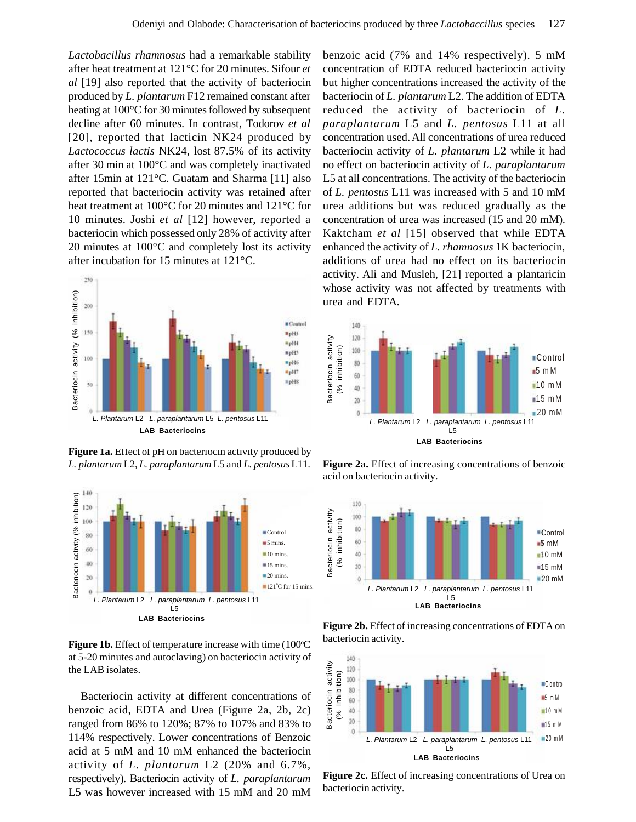*Lactobacillus rhamnosus* had a remarkable stability after heat treatment at 121°C for 20 minutes. Sifour *et al* [19] also reported that the activity of bacteriocin produced by *L. plantarum* F12 remained constant after heating at 100°C for 30 minutes followed by subsequent decline after 60 minutes. In contrast, Todorov *et al* [20], reported that lacticin NK24 produced by *Lactococcus lactis* NK24, lost 87.5% of its activity after 30 min at 100°C and was completely inactivated after 15min at 121°C. Guatam and Sharma [11] also reported that bacteriocin activity was retained after heat treatment at 100°C for 20 minutes and 121°C for 10 minutes. Joshi *et al* [12] however, reported a bacteriocin which possessed only 28% of activity after 20 minutes at 100°C and completely lost its activity after incubation for 15 minutes at 121°C.



Figure 1a. Effect of pH on bacteriocin activity produced by *L. plantarum* L2, *L. paraplantarum* L5 and *L. pentosus*L11.



Figure 1b. Effect of temperature increase with time (100°C at 5-20 minutes and autoclaving) on bacteriocin activity of the LAB isolates.

Bacteriocin activity at different concentrations of benzoic acid, EDTA and Urea (Figure 2a, 2b, 2c) ranged from 86% to 120%; 87% to 107% and 83% to 114% respectively. Lower concentrations of Benzoic acid at 5 mM and 10 mM enhanced the bacteriocin activity of *L. plantarum* L2 (20% and 6.7%, respectively). Bacteriocin activity of *L. paraplantarum* L5 was however increased with 15 mM and 20 mM

benzoic acid (7% and 14% respectively). 5 mM concentration of EDTA reduced bacteriocin activity but higher concentrations increased the activity of the bacteriocin of *L. plantarum* L2. The addition of EDTA reduced the activity of bacteriocin of *L. paraplantarum* L5 and *L. pentosus* L11 at all concentration used. All concentrations of urea reduced bacteriocin activity of *L. plantarum* L2 while it had no effect on bacteriocin activity of *L. paraplantarum* L5 at all concentrations. The activity of the bacteriocin of *L. pentosus* L11 was increased with 5 and 10 mM urea additions but was reduced gradually as the concentration of urea was increased (15 and 20 mM). Kaktcham *et al* [15] observed that while EDTA enhanced the activity of *L. rhamnosus* 1K bacteriocin, additions of urea had no effect on its bacteriocin activity. Ali and Musleh, [21] reported a plantaricin whose activity was not affected by treatments with urea and EDTA.



**Figure 2a.** Effect of increasing concentrations of benzoic acid on bacteriocin activity.



**Figure 2b.** Effect of increasing concentrations of EDTA on bacteriocin activity.



**Figure 2c.** Effect of increasing concentrations of Urea on bacteriocin activity.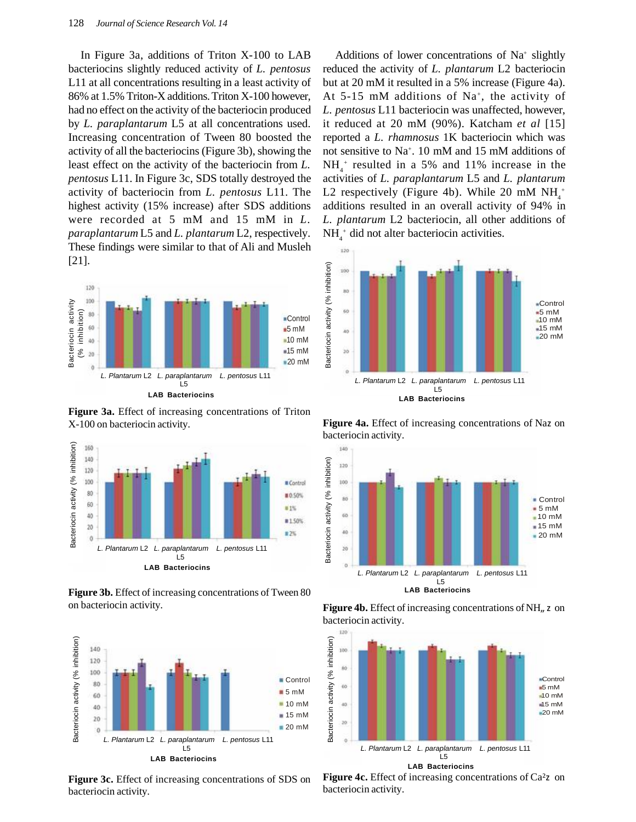In Figure 3a, additions of Triton X-100 to LAB bacteriocins slightly reduced activity of *L. pentosus* L11 at all concentrations resulting in a least activity of 86% at 1.5% Triton-X additions. Triton X-100 however, had no effect on the activity of the bacteriocin produced by *L. paraplantarum* L5 at all concentrations used. Increasing concentration of Tween 80 boosted the activity of all the bacteriocins (Figure 3b), showing the least effect on the activity of the bacteriocin from *L. pentosus* L11. In Figure 3c, SDS totally destroyed the activity of bacteriocin from *L. pentosus* L11. The highest activity (15% increase) after SDS additions were recorded at 5 mM and 15 mM in *L. paraplantarum* L5 and *L. plantarum* L2, respectively. These findings were similar to that of Ali and Musleh [21].



**Figure 3a.** Effect of increasing concentrations of Triton X-100 on bacteriocin activity.



**Figure 3b.** Effect of increasing concentrations of Tween 80 on bacteriocin activity.



**Figure 3c.** Effect of increasing concentrations of SDS on bacteriocin activity.

Additions of lower concentrations of Na<sup>+</sup> slightly reduced the activity of *L. plantarum* L2 bacteriocin but at 20 mM it resulted in a 5% increase (Figure 4a). At  $5-15$  mM additions of Na<sup>+</sup>, the activity of *L. pentosus* L11 bacteriocin was unaffected, however, it reduced at 20 mM (90%). Katcham *et al* [15] reported a *L. rhamnosus* 1K bacteriocin which was not sensitive to Na<sup>+</sup> . 10 mM and 15 mM additions of  $NH<sub>4</sub><sup>+</sup>$  resulted in a 5% and 11% increase in the activities of *L. paraplantarum* L5 and *L. plantarum* L2 respectively (Figure 4b). While 20 mM  $NH_4^+$ additions resulted in an overall activity of 94% in *L. plantarum* L2 bacteriocin, all other additions of  $NH<sub>4</sub><sup>+</sup>$  did not alter bacteriocin activities.



**Figure 4a.** Effect of increasing concentrations of Naz on bacteriocin activity.







**Figure 4c.** Effect of increasing concentrations of Ca<sup>2</sup>z on bacteriocin activity.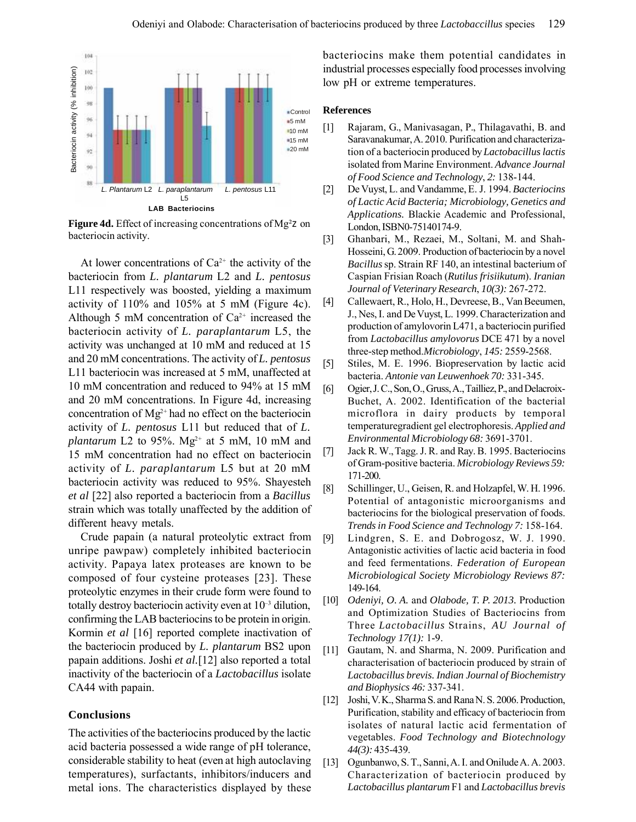

**Figure 4d.** Effect of increasing concentrations of Mg<sup>2</sup>z on bacteriocin activity.

At lower concentrations of  $Ca^{2+}$  the activity of the bacteriocin from *L. plantarum* L2 and *L. pentosus* L11 respectively was boosted, yielding a maximum activity of 110% and 105% at 5 mM (Figure 4c). Although 5 mM concentration of  $Ca^{2+}$  increased the bacteriocin activity of *L. paraplantarum* L5, the activity was unchanged at 10 mM and reduced at 15 and 20 mM concentrations. The activity of *L. pentosus* L11 bacteriocin was increased at 5 mM, unaffected at 10 mM concentration and reduced to 94% at 15 mM and 20 mM concentrations. In Figure 4d, increasing concentration of  $Mg^{2+}$  had no effect on the bacteriocin activity of *L. pentosus* L11 but reduced that of *L. plantarum* L2 to 95%.  $Mg^{2+}$  at 5 mM, 10 mM and 15 mM concentration had no effect on bacteriocin activity of *L. paraplantarum* L5 but at 20 mM bacteriocin activity was reduced to 95%. Shayesteh *et al* [22] also reported a bacteriocin from a *Bacillus* strain which was totally unaffected by the addition of different heavy metals.

Crude papain (a natural proteolytic extract from unripe pawpaw) completely inhibited bacteriocin activity. Papaya latex proteases are known to be composed of four cysteine proteases [23]. These proteolytic enzymes in their crude form were found to totally destroy bacteriocin activity even at  $10^{-3}$  dilution, confirming the LAB bacteriocins to be protein in origin. Kormin *et al* [16] reported complete inactivation of the bacteriocin produced by *L. plantarum* BS2 upon papain additions. Joshi *et al.*[12] also reported a total inactivity of the bacteriocin of a *Lactobacillus* isolate CA44 with papain.

#### **Conclusions**

The activities of the bacteriocins produced by the lactic acid bacteria possessed a wide range of pH tolerance, considerable stability to heat (even at high autoclaving temperatures), surfactants, inhibitors/inducers and metal ions. The characteristics displayed by these bacteriocins make them potential candidates in industrial processes especially food processes involving low pH or extreme temperatures.

#### **References**

- [1] Rajaram, G., Manivasagan, P., Thilagavathi, B. and Saravanakumar, A. 2010. Purification and characterization of a bacteriocin produced by *Lactobacillus lactis* isolated from Marine Environment. *Advance Journal of Food Science and Technology*, *2:* 138-144.
- [2] De Vuyst, L. and Vandamme, E. J. 1994. *Bacteriocins of Lactic Acid Bacteria; Microbiology, Genetics and Applications.* Blackie Academic and Professional, London, ISBN0-75140174-9.
- [3] Ghanbari, M., Rezaei, M., Soltani, M. and Shah-Hosseini, G. 2009. Production of bacteriocin by a novel *Bacillus*sp. Strain RF 140, an intestinal bacterium of Caspian Frisian Roach (*Rutilus frisiikutum*). *Iranian Journal of Veterinary Research*, *10(3):* 267-272.
- [4] Callewaert, R., Holo, H., Devreese, B., Van Beeumen, J., Nes, I. and De Vuyst, L. 1999. Characterization and production of amylovorin L471, a bacteriocin purified from *Lactobacillus amylovorus* DCE 471 by a novel three-step method.*Microbiology*, *145:* 2559-2568.
- [5] Stiles, M. E. 1996. Biopreservation by lactic acid bacteria. *Antonie van Leuwenhoek 70:* 331-345.
- [6] Ogier, J. C., Son, O., Gruss, A., Tailliez, P., and Delacroix-Buchet, A. 2002. Identification of the bacterial microflora in dairy products by temporal temperaturegradient gel electrophoresis. *Applied and Environmental Microbiology 68:* 3691-3701.
- [7] Jack R. W., Tagg. J. R. and Ray. B. 1995. Bacteriocins of Gram-positive bacteria. *Microbiology Reviews 59:* 171-200.
- [8] Schillinger, U., Geisen, R. and Holzapfel, W. H. 1996. Potential of antagonistic microorganisms and bacteriocins for the biological preservation of foods. *Trends in Food Science and Technology 7:* 158-164.
- [9] Lindgren, S. E. and Dobrogosz, W. J. 1990. Antagonistic activities of lactic acid bacteria in food and feed fermentations. *Federation of European Microbiological Society Microbiology Reviews 87:* 149-164.
- [10] *Odeniyi, O. A.* and *Olabode, T. P. 2013.* Production and Optimization Studies of Bacteriocins from Three *Lactobacillus* Strains, *AU Journal of Technology 17(1):* 1-9.
- [11] Gautam, N. and Sharma, N. 2009. Purification and characterisation of bacteriocin produced by strain of *Lactobacillus brevis. Indian Journal of Biochemistry and Biophysics 46:* 337-341.
- [12] Joshi, V. K., Sharma S. and Rana N. S. 2006. Production, Purification, stability and efficacy of bacteriocin from isolates of natural lactic acid fermentation of vegetables. *Food Technology and Biotechnology 44(3):* 435-439.
- [13] Ogunbanwo, S. T., Sanni, A. I. and Onilude A. A. 2003. Characterization of bacteriocin produced by *Lactobacillus plantarum* F1 and *Lactobacillus brevis*